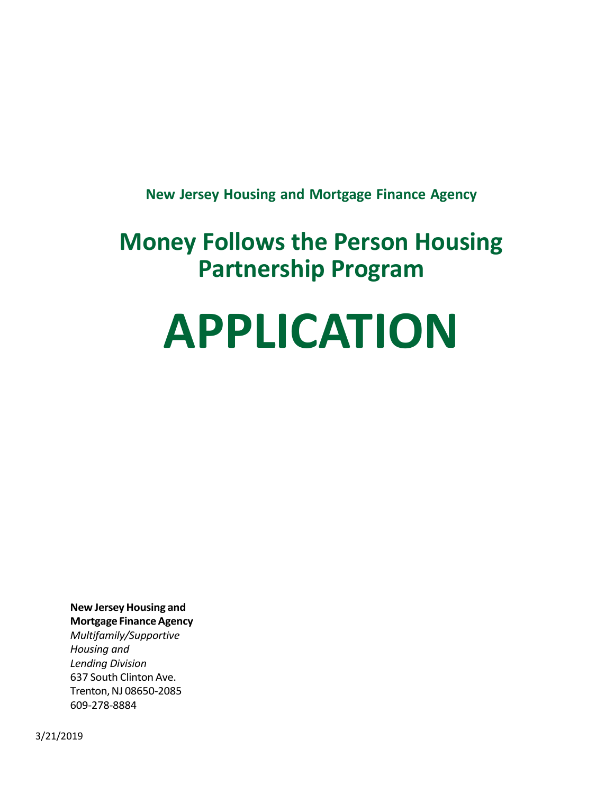**New Jersey Housing and Mortgage Finance Agency**

# **Money Follows the Person Housing Partnership Program**

# **APPLICATION**

**New JerseyHousing and Mortgage FinanceAgency**

*Multifamily/Supportive Housing and Lending Division* 637 South Clinton Ave. Trenton, NJ 08650-2085 609-278-8884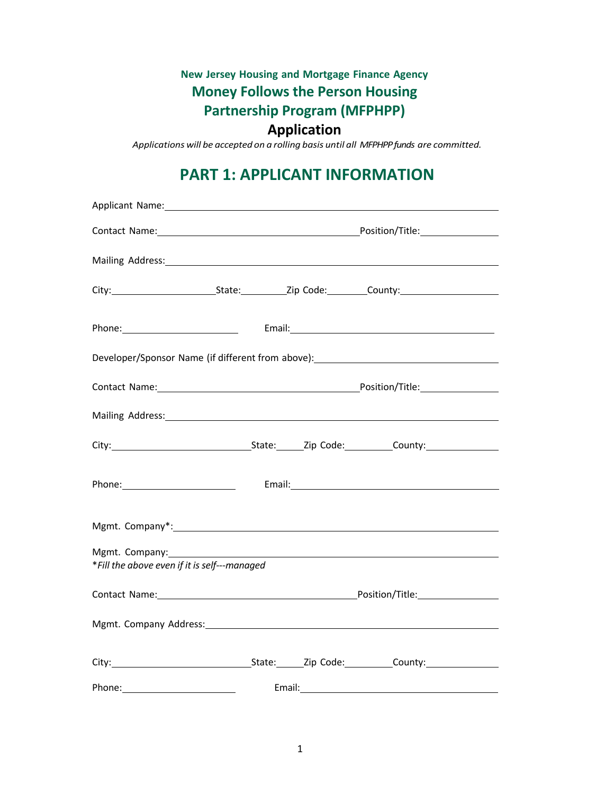# **New Jersey Housing and Mortgage Finance Agency Money Follows the Person Housing Partnership Program (MFPHPP)**

#### **Application**

*Applications will be accepted on a rolling basis until all MFPHPPfunds are committed.*

### **PART 1: APPLICANT INFORMATION**

| Mailing Address: Mailing Address: Mailing Address: Mailing Address: Mailing Address: Mailing Address: Mailing A                                                                                                                |  |                                                                                                                                                                                                                                     |  |
|--------------------------------------------------------------------------------------------------------------------------------------------------------------------------------------------------------------------------------|--|-------------------------------------------------------------------------------------------------------------------------------------------------------------------------------------------------------------------------------------|--|
|                                                                                                                                                                                                                                |  |                                                                                                                                                                                                                                     |  |
|                                                                                                                                                                                                                                |  |                                                                                                                                                                                                                                     |  |
| Developer/Sponsor Name (if different from above): ______________________________                                                                                                                                               |  |                                                                                                                                                                                                                                     |  |
|                                                                                                                                                                                                                                |  |                                                                                                                                                                                                                                     |  |
| Mailing Address: Mailing Address: Mailing Address: Mailing Address: Mailing Address: Mailing Address: Mail 2014                                                                                                                |  |                                                                                                                                                                                                                                     |  |
| City: City: City: City: City: Colore: County: City: County: City: County: City: County: County: County: County: County: County: County: County: County: County: County: County: County: County: County: County: County: County |  |                                                                                                                                                                                                                                     |  |
|                                                                                                                                                                                                                                |  |                                                                                                                                                                                                                                     |  |
|                                                                                                                                                                                                                                |  |                                                                                                                                                                                                                                     |  |
| Mgmt. Company:<br>*Fill the above even if it is self---managed                                                                                                                                                                 |  |                                                                                                                                                                                                                                     |  |
| Contact Name: The Contact Of the Contact Of the Contact Of the Contact Of the Contact Of the Contact Of the Contact Of the Contact Of the Contact Of the Contact Of the Contact Of the Contact Of the Contact Of the Contact O |  |                                                                                                                                                                                                                                     |  |
| Mgmt. Company Address: 1988 Manual Accounts and Accounts and Accounts and Accounts and Accounts and Accounts and Accounts and Accounts and Accounts and Accounts and Accounts and Accounts and Accounts and Accounts and Accou |  |                                                                                                                                                                                                                                     |  |
| City: City: City: City: City: Colone: County:                                                                                                                                                                                  |  |                                                                                                                                                                                                                                     |  |
| Phone: Note: 2008                                                                                                                                                                                                              |  | <b>Email:</b> Email: Email: Email: Email: Email: Email: Email: Email: Email: Email: Email: Email: Email: Email: Email: Email: Email: Email: Email: Email: Email: Email: Email: Email: Email: Email: Email: Email: Email: Email: Ema |  |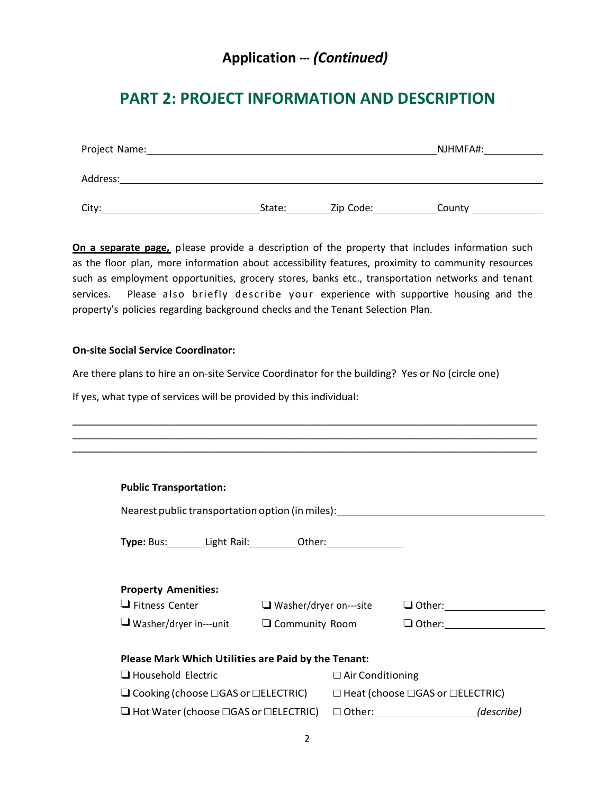#### **Application ---** *(Continued)*

#### **PART 2: PROJECT INFORMATION AND DESCRIPTION**

| Project Name: |        |           | NJHMFA#: |
|---------------|--------|-----------|----------|
| Address:      |        |           |          |
| City:         | State: | Zip Code: | County   |

**On a separate page,** please provide a description of the property that includes information such as the floor plan, more information about accessibility features, proximity to community resources such as employment opportunities, grocery stores, banks etc., transportation networks and tenant services. Please also briefly describe your experience with supportive housing and the property's policies regarding background checks and the Tenant Selection Plan.

#### **On-site Social Service Coordinator:**

Are there plans to hire an on-site Service Coordinator for the building? Yes or No (circle one)

If yes, what type of services will be provided by this individual:

| <b>Public Transportation:</b>                                                                            |                                                     |                         |                                                                     |
|----------------------------------------------------------------------------------------------------------|-----------------------------------------------------|-------------------------|---------------------------------------------------------------------|
|                                                                                                          |                                                     |                         | Nearest public transportation option (in miles): www.community.com/ |
| Type: Bus: Light Rail: Other: Christian Muslem Communism                                                 |                                                     |                         |                                                                     |
| <b>Property Amenities:</b>                                                                               |                                                     |                         |                                                                     |
| $\Box$ Fitness Center                                                                                    | $\Box$ Washer/dryer on---site                       |                         | $\Box$ Other: $\Box$                                                |
|                                                                                                          | $\Box$ Washer/dryer in---unit $\Box$ Community Room |                         |                                                                     |
| Please Mark Which Utilities are Paid by the Tenant:                                                      |                                                     |                         |                                                                     |
| Household Electric                                                                                       |                                                     | $\Box$ Air Conditioning |                                                                     |
| $\Box$ Cooking (choose $\Box$ GAS or $\Box$ ELECTRIC) $\Box$ Heat (choose $\Box$ GAS or $\Box$ ELECTRIC) |                                                     |                         |                                                                     |
| $\Box$ Hot Water (choose $\Box$ GAS or $\Box$ ELECTRIC)                                                  |                                                     |                         |                                                                     |